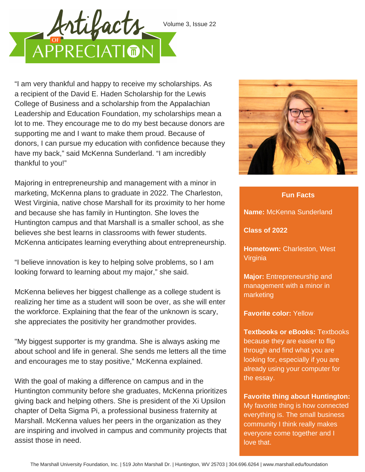

"I am very thankful and happy to receive my scholarships. As a recipient of the David E. Haden Scholarship for the Lewis College of Business and a scholarship from the Appalachian Leadership and Education Foundation, my scholarships mean a lot to me. They encourage me to do my best because donors are supporting me and I want to make them proud. Because of donors, I can pursue my education with confidence because they have my back," said McKenna Sunderland. "I am incredibly thankful to you!"

Majoring in entrepreneurship and management with a minor in marketing, McKenna plans to graduate in 2022. The Charleston, West Virginia, native chose Marshall for its proximity to her home and because she has family in Huntington. She loves the Huntington campus and that Marshall is a smaller school, as she believes she best learns in classrooms with fewer students. McKenna anticipates learning everything about entrepreneurship.

"I believe innovation is key to helping solve problems, so I am looking forward to learning about my major," she said.

McKenna believes her biggest challenge as a college student is realizing her time as a student will soon be over, as she will enter the workforce. Explaining that the fear of the unknown is scary, she appreciates the positivity her grandmother provides.

"My biggest supporter is my grandma. She is always asking me about school and life in general. She sends me letters all the time and encourages me to stay positive," McKenna explained.

With the goal of making a difference on campus and in the Huntington community before she graduates, McKenna prioritizes giving back and helping others. She is president of the Xi Upsilon chapter of Delta Sigma Pi, a professional business fraternity at Marshall. McKenna values her peers in the organization as they are inspiring and involved in campus and community projects that assist those in need.



**Fun Facts**

**Name:** McKenna Sunderland **Class of 2022 Hometown:** Charleston, West **Virginia** 

**Major:** Entrepreneurship and management with a minor in marketing

**Favorite color:** Yellow

**Textbooks or eBooks:** Textbooks because they are easier to flip through and find what you are looking for, especially if you are already using your computer for the essay.

**Favorite thing about Huntington:** My favorite thing is how connected everything is. The small business community I think really makes everyone come together and I love that.